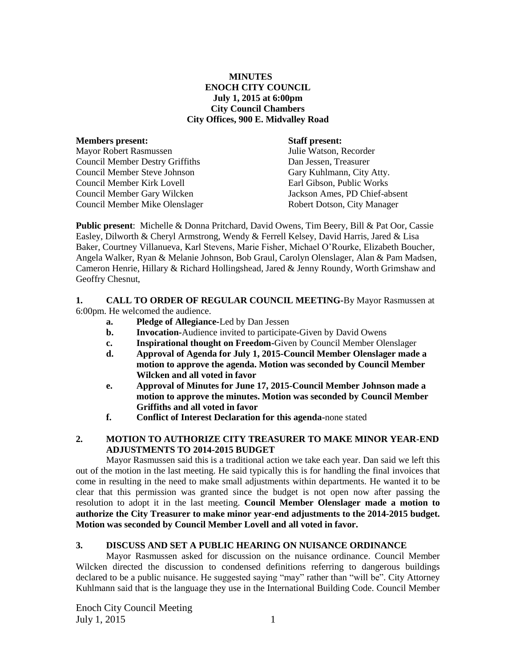## **MINUTES ENOCH CITY COUNCIL July 1, 2015 at 6:00pm City Council Chambers City Offices, 900 E. Midvalley Road**

| <b>Members present:</b>                | <b>Staff present:</b>         |
|----------------------------------------|-------------------------------|
| <b>Mayor Robert Rasmussen</b>          | Julie Watson, Recorder        |
| <b>Council Member Destry Griffiths</b> | Dan Jessen, Treasurer         |
| <b>Council Member Steve Johnson</b>    | Gary Kuhlmann, City Atty.     |
| Council Member Kirk Lovell             | Earl Gibson, Public Works     |
| Council Member Gary Wilcken            | Jackson Ames, PD Chief-absent |
| Council Member Mike Olenslager         | Robert Dotson, City Manager   |
|                                        |                               |

**Public present**: Michelle & Donna Pritchard, David Owens, Tim Beery, Bill & Pat Oor, Cassie Easley, Dilworth & Cheryl Armstrong, Wendy & Ferrell Kelsey, David Harris, Jared & Lisa Baker, Courtney Villanueva, Karl Stevens, Marie Fisher, Michael O'Rourke, Elizabeth Boucher, Angela Walker, Ryan & Melanie Johnson, Bob Graul, Carolyn Olenslager, Alan & Pam Madsen, Cameron Henrie, Hillary & Richard Hollingshead, Jared & Jenny Roundy, Worth Grimshaw and Geoffry Chesnut,

## **1. CALL TO ORDER OF REGULAR COUNCIL MEETING-**By Mayor Rasmussen at

6:00pm. He welcomed the audience.

- **a. Pledge of Allegiance-**Led by Dan Jessen
- **b. Invocation-**Audience invited to participate-Given by David Owens
- **c. Inspirational thought on Freedom-**Given by Council Member Olenslager
- **d. Approval of Agenda for July 1, 2015-Council Member Olenslager made a motion to approve the agenda. Motion was seconded by Council Member Wilcken and all voted in favor**
- **e. Approval of Minutes for June 17, 2015-Council Member Johnson made a motion to approve the minutes. Motion was seconded by Council Member Griffiths and all voted in favor**
- **f. Conflict of Interest Declaration for this agenda-**none stated

## **2. MOTION TO AUTHORIZE CITY TREASURER TO MAKE MINOR YEAR-END ADJUSTMENTS TO 2014-2015 BUDGET**

Mayor Rasmussen said this is a traditional action we take each year. Dan said we left this out of the motion in the last meeting. He said typically this is for handling the final invoices that come in resulting in the need to make small adjustments within departments. He wanted it to be clear that this permission was granted since the budget is not open now after passing the resolution to adopt it in the last meeting. **Council Member Olenslager made a motion to authorize the City Treasurer to make minor year-end adjustments to the 2014-2015 budget. Motion was seconded by Council Member Lovell and all voted in favor.**

## **3. DISCUSS AND SET A PUBLIC HEARING ON NUISANCE ORDINANCE**

Mayor Rasmussen asked for discussion on the nuisance ordinance. Council Member Wilcken directed the discussion to condensed definitions referring to dangerous buildings declared to be a public nuisance. He suggested saying "may" rather than "will be". City Attorney Kuhlmann said that is the language they use in the International Building Code. Council Member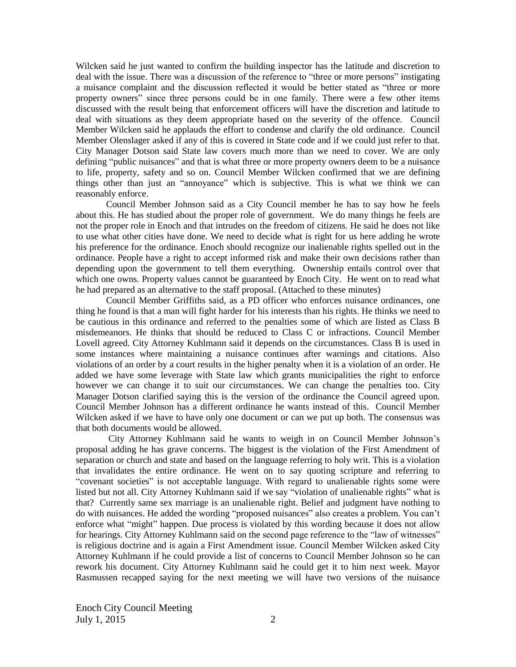Wilcken said he just wanted to confirm the building inspector has the latitude and discretion to deal with the issue. There was a discussion of the reference to "three or more persons" instigating a nuisance complaint and the discussion reflected it would be better stated as "three or more property owners" since three persons could be in one family. There were a few other items discussed with the result being that enforcement officers will have the discretion and latitude to deal with situations as they deem appropriate based on the severity of the offence. Council Member Wilcken said he applauds the effort to condense and clarify the old ordinance. Council Member Olenslager asked if any of this is covered in State code and if we could just refer to that. City Manager Dotson said State law covers much more than we need to cover. We are only defining "public nuisances" and that is what three or more property owners deem to be a nuisance to life, property, safety and so on. Council Member Wilcken confirmed that we are defining things other than just an "annoyance" which is subjective. This is what we think we can reasonably enforce.

Council Member Johnson said as a City Council member he has to say how he feels about this. He has studied about the proper role of government. We do many things he feels are not the proper role in Enoch and that intrudes on the freedom of citizens. He said he does not like to use what other cities have done. We need to decide what is right for us here adding he wrote his preference for the ordinance. Enoch should recognize our inalienable rights spelled out in the ordinance. People have a right to accept informed risk and make their own decisions rather than depending upon the government to tell them everything. Ownership entails control over that which one owns. Property values cannot be guaranteed by Enoch City. He went on to read what he had prepared as an alternative to the staff proposal. (Attached to these minutes)

Council Member Griffiths said, as a PD officer who enforces nuisance ordinances, one thing he found is that a man will fight harder for his interests than his rights. He thinks we need to be cautious in this ordinance and referred to the penalties some of which are listed as Class B misdemeanors. He thinks that should be reduced to Class C or infractions. Council Member Lovell agreed. City Attorney Kuhlmann said it depends on the circumstances. Class B is used in some instances where maintaining a nuisance continues after warnings and citations. Also violations of an order by a court results in the higher penalty when it is a violation of an order. He added we have some leverage with State law which grants municipalities the right to enforce however we can change it to suit our circumstances. We can change the penalties too. City Manager Dotson clarified saying this is the version of the ordinance the Council agreed upon. Council Member Johnson has a different ordinance he wants instead of this. Council Member Wilcken asked if we have to have only one document or can we put up both. The consensus was that both documents would be allowed.

City Attorney Kuhlmann said he wants to weigh in on Council Member Johnson's proposal adding he has grave concerns. The biggest is the violation of the First Amendment of separation or church and state and based on the language referring to holy writ. This is a violation that invalidates the entire ordinance. He went on to say quoting scripture and referring to "covenant societies" is not acceptable language. With regard to unalienable rights some were listed but not all. City Attorney Kuhlmann said if we say "violation of unalienable rights" what is that? Currently same sex marriage is an unalienable right. Belief and judgment have nothing to do with nuisances. He added the wording "proposed nuisances" also creates a problem. You can't enforce what "might" happen. Due process is violated by this wording because it does not allow for hearings. City Attorney Kuhlmann said on the second page reference to the "law of witnesses" is religious doctrine and is again a First Amendment issue. Council Member Wilcken asked City Attorney Kuhlmann if he could provide a list of concerns to Council Member Johnson so he can rework his document. City Attorney Kuhlmann said he could get it to him next week. Mayor Rasmussen recapped saying for the next meeting we will have two versions of the nuisance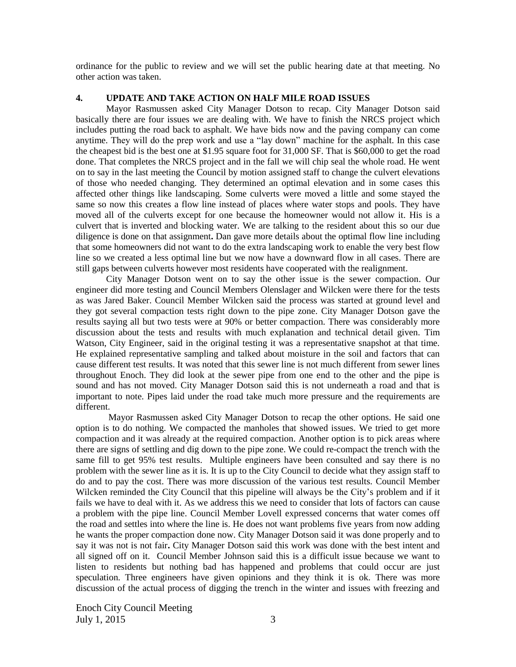ordinance for the public to review and we will set the public hearing date at that meeting. No other action was taken.

#### **4. UPDATE AND TAKE ACTION ON HALF MILE ROAD ISSUES**

Mayor Rasmussen asked City Manager Dotson to recap. City Manager Dotson said basically there are four issues we are dealing with. We have to finish the NRCS project which includes putting the road back to asphalt. We have bids now and the paving company can come anytime. They will do the prep work and use a "lay down" machine for the asphalt. In this case the cheapest bid is the best one at \$1.95 square foot for 31,000 SF. That is \$60,000 to get the road done. That completes the NRCS project and in the fall we will chip seal the whole road. He went on to say in the last meeting the Council by motion assigned staff to change the culvert elevations of those who needed changing. They determined an optimal elevation and in some cases this affected other things like landscaping. Some culverts were moved a little and some stayed the same so now this creates a flow line instead of places where water stops and pools. They have moved all of the culverts except for one because the homeowner would not allow it. His is a culvert that is inverted and blocking water. We are talking to the resident about this so our due diligence is done on that assignment**.** Dan gave more details about the optimal flow line including that some homeowners did not want to do the extra landscaping work to enable the very best flow line so we created a less optimal line but we now have a downward flow in all cases. There are still gaps between culverts however most residents have cooperated with the realignment.

City Manager Dotson went on to say the other issue is the sewer compaction. Our engineer did more testing and Council Members Olenslager and Wilcken were there for the tests as was Jared Baker. Council Member Wilcken said the process was started at ground level and they got several compaction tests right down to the pipe zone. City Manager Dotson gave the results saying all but two tests were at 90% or better compaction. There was considerably more discussion about the tests and results with much explanation and technical detail given. Tim Watson, City Engineer, said in the original testing it was a representative snapshot at that time. He explained representative sampling and talked about moisture in the soil and factors that can cause different test results. It was noted that this sewer line is not much different from sewer lines throughout Enoch. They did look at the sewer pipe from one end to the other and the pipe is sound and has not moved. City Manager Dotson said this is not underneath a road and that is important to note. Pipes laid under the road take much more pressure and the requirements are different.

Mayor Rasmussen asked City Manager Dotson to recap the other options. He said one option is to do nothing. We compacted the manholes that showed issues. We tried to get more compaction and it was already at the required compaction. Another option is to pick areas where there are signs of settling and dig down to the pipe zone. We could re-compact the trench with the same fill to get 95% test results. Multiple engineers have been consulted and say there is no problem with the sewer line as it is. It is up to the City Council to decide what they assign staff to do and to pay the cost. There was more discussion of the various test results. Council Member Wilcken reminded the City Council that this pipeline will always be the City's problem and if it fails we have to deal with it. As we address this we need to consider that lots of factors can cause a problem with the pipe line. Council Member Lovell expressed concerns that water comes off the road and settles into where the line is. He does not want problems five years from now adding he wants the proper compaction done now. City Manager Dotson said it was done properly and to say it was not is not fair**.** City Manager Dotson said this work was done with the best intent and all signed off on it. Council Member Johnson said this is a difficult issue because we want to listen to residents but nothing bad has happened and problems that could occur are just speculation. Three engineers have given opinions and they think it is ok. There was more discussion of the actual process of digging the trench in the winter and issues with freezing and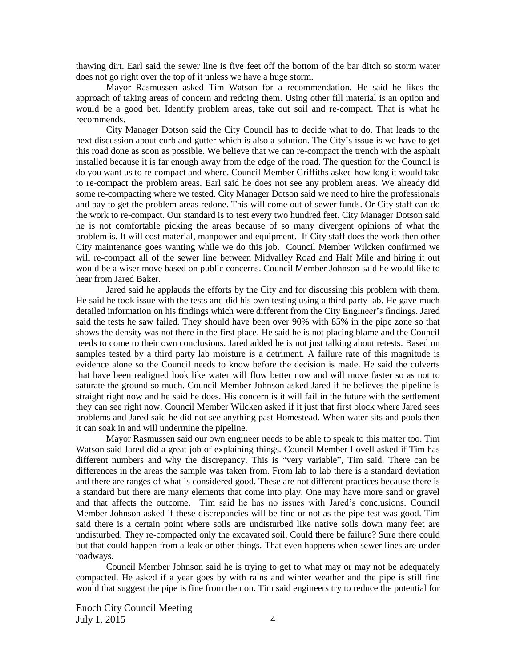thawing dirt. Earl said the sewer line is five feet off the bottom of the bar ditch so storm water does not go right over the top of it unless we have a huge storm.

Mayor Rasmussen asked Tim Watson for a recommendation. He said he likes the approach of taking areas of concern and redoing them. Using other fill material is an option and would be a good bet. Identify problem areas, take out soil and re-compact. That is what he recommends.

City Manager Dotson said the City Council has to decide what to do. That leads to the next discussion about curb and gutter which is also a solution. The City's issue is we have to get this road done as soon as possible. We believe that we can re-compact the trench with the asphalt installed because it is far enough away from the edge of the road. The question for the Council is do you want us to re-compact and where. Council Member Griffiths asked how long it would take to re-compact the problem areas. Earl said he does not see any problem areas. We already did some re-compacting where we tested. City Manager Dotson said we need to hire the professionals and pay to get the problem areas redone. This will come out of sewer funds. Or City staff can do the work to re-compact. Our standard is to test every two hundred feet. City Manager Dotson said he is not comfortable picking the areas because of so many divergent opinions of what the problem is. It will cost material, manpower and equipment. If City staff does the work then other City maintenance goes wanting while we do this job. Council Member Wilcken confirmed we will re-compact all of the sewer line between Midvalley Road and Half Mile and hiring it out would be a wiser move based on public concerns. Council Member Johnson said he would like to hear from Jared Baker.

Jared said he applauds the efforts by the City and for discussing this problem with them. He said he took issue with the tests and did his own testing using a third party lab. He gave much detailed information on his findings which were different from the City Engineer's findings. Jared said the tests he saw failed. They should have been over 90% with 85% in the pipe zone so that shows the density was not there in the first place. He said he is not placing blame and the Council needs to come to their own conclusions. Jared added he is not just talking about retests. Based on samples tested by a third party lab moisture is a detriment. A failure rate of this magnitude is evidence alone so the Council needs to know before the decision is made. He said the culverts that have been realigned look like water will flow better now and will move faster so as not to saturate the ground so much. Council Member Johnson asked Jared if he believes the pipeline is straight right now and he said he does. His concern is it will fail in the future with the settlement they can see right now. Council Member Wilcken asked if it just that first block where Jared sees problems and Jared said he did not see anything past Homestead. When water sits and pools then it can soak in and will undermine the pipeline.

Mayor Rasmussen said our own engineer needs to be able to speak to this matter too. Tim Watson said Jared did a great job of explaining things. Council Member Lovell asked if Tim has different numbers and why the discrepancy. This is "very variable", Tim said. There can be differences in the areas the sample was taken from. From lab to lab there is a standard deviation and there are ranges of what is considered good. These are not different practices because there is a standard but there are many elements that come into play. One may have more sand or gravel and that affects the outcome. Tim said he has no issues with Jared's conclusions. Council Member Johnson asked if these discrepancies will be fine or not as the pipe test was good. Tim said there is a certain point where soils are undisturbed like native soils down many feet are undisturbed. They re-compacted only the excavated soil. Could there be failure? Sure there could but that could happen from a leak or other things. That even happens when sewer lines are under roadways.

Council Member Johnson said he is trying to get to what may or may not be adequately compacted. He asked if a year goes by with rains and winter weather and the pipe is still fine would that suggest the pipe is fine from then on. Tim said engineers try to reduce the potential for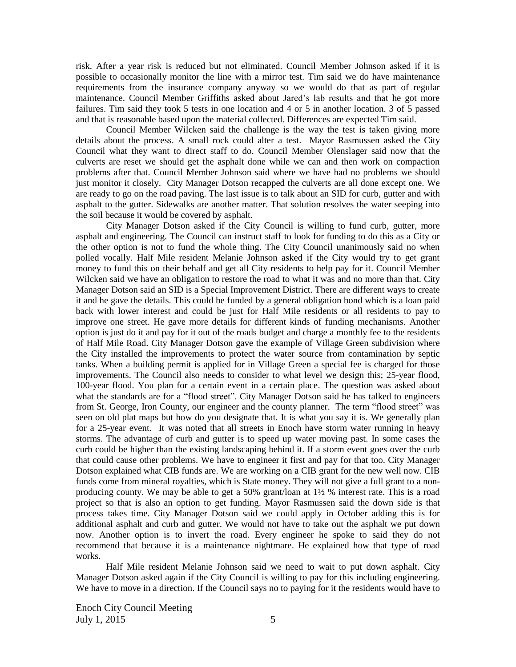risk. After a year risk is reduced but not eliminated. Council Member Johnson asked if it is possible to occasionally monitor the line with a mirror test. Tim said we do have maintenance requirements from the insurance company anyway so we would do that as part of regular maintenance. Council Member Griffiths asked about Jared's lab results and that he got more failures. Tim said they took 5 tests in one location and 4 or 5 in another location. 3 of 5 passed and that is reasonable based upon the material collected. Differences are expected Tim said.

Council Member Wilcken said the challenge is the way the test is taken giving more details about the process. A small rock could alter a test.Mayor Rasmussen asked the City Council what they want to direct staff to do. Council Member Olenslager said now that the culverts are reset we should get the asphalt done while we can and then work on compaction problems after that. Council Member Johnson said where we have had no problems we should just monitor it closely. City Manager Dotson recapped the culverts are all done except one. We are ready to go on the road paving. The last issue is to talk about an SID for curb, gutter and with asphalt to the gutter. Sidewalks are another matter. That solution resolves the water seeping into the soil because it would be covered by asphalt.

City Manager Dotson asked if the City Council is willing to fund curb, gutter, more asphalt and engineering. The Council can instruct staff to look for funding to do this as a City or the other option is not to fund the whole thing. The City Council unanimously said no when polled vocally. Half Mile resident Melanie Johnson asked if the City would try to get grant money to fund this on their behalf and get all City residents to help pay for it. Council Member Wilcken said we have an obligation to restore the road to what it was and no more than that. City Manager Dotson said an SID is a Special Improvement District. There are different ways to create it and he gave the details. This could be funded by a general obligation bond which is a loan paid back with lower interest and could be just for Half Mile residents or all residents to pay to improve one street. He gave more details for different kinds of funding mechanisms. Another option is just do it and pay for it out of the roads budget and charge a monthly fee to the residents of Half Mile Road. City Manager Dotson gave the example of Village Green subdivision where the City installed the improvements to protect the water source from contamination by septic tanks. When a building permit is applied for in Village Green a special fee is charged for those improvements. The Council also needs to consider to what level we design this; 25-year flood, 100-year flood. You plan for a certain event in a certain place. The question was asked about what the standards are for a "flood street". City Manager Dotson said he has talked to engineers from St. George, Iron County, our engineer and the county planner. The term "flood street" was seen on old plat maps but how do you designate that. It is what you say it is. We generally plan for a 25-year event. It was noted that all streets in Enoch have storm water running in heavy storms. The advantage of curb and gutter is to speed up water moving past. In some cases the curb could be higher than the existing landscaping behind it. If a storm event goes over the curb that could cause other problems. We have to engineer it first and pay for that too. City Manager Dotson explained what CIB funds are. We are working on a CIB grant for the new well now. CIB funds come from mineral royalties, which is State money. They will not give a full grant to a nonproducing county. We may be able to get a 50% grant/loan at  $1\frac{1}{2}$  % interest rate. This is a road project so that is also an option to get funding. Mayor Rasmussen said the down side is that process takes time. City Manager Dotson said we could apply in October adding this is for additional asphalt and curb and gutter. We would not have to take out the asphalt we put down now. Another option is to invert the road. Every engineer he spoke to said they do not recommend that because it is a maintenance nightmare. He explained how that type of road works.

Half Mile resident Melanie Johnson said we need to wait to put down asphalt. City Manager Dotson asked again if the City Council is willing to pay for this including engineering. We have to move in a direction. If the Council says no to paying for it the residents would have to

Enoch City Council Meeting July 1, 2015  $\frac{5}{5}$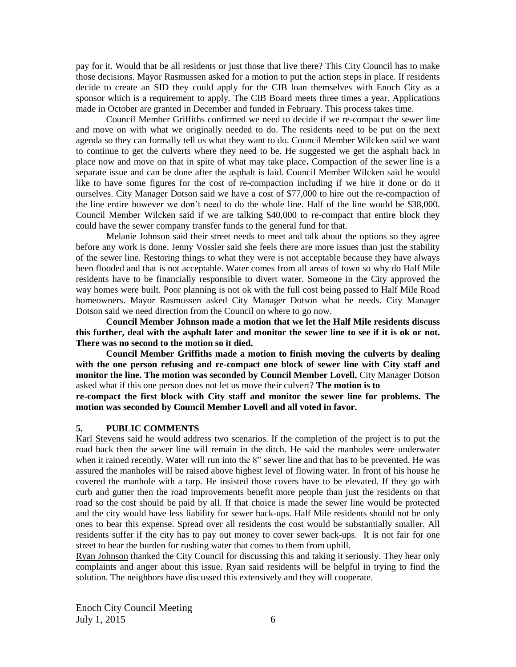pay for it. Would that be all residents or just those that live there? This City Council has to make those decisions. Mayor Rasmussen asked for a motion to put the action steps in place. If residents decide to create an SID they could apply for the CIB loan themselves with Enoch City as a sponsor which is a requirement to apply. The CIB Board meets three times a year. Applications made in October are granted in December and funded in February. This process takes time.

Council Member Griffiths confirmed we need to decide if we re-compact the sewer line and move on with what we originally needed to do. The residents need to be put on the next agenda so they can formally tell us what they want to do. Council Member Wilcken said we want to continue to get the culverts where they need to be. He suggested we get the asphalt back in place now and move on that in spite of what may take place**.** Compaction of the sewer line is a separate issue and can be done after the asphalt is laid. Council Member Wilcken said he would like to have some figures for the cost of re-compaction including if we hire it done or do it ourselves. City Manager Dotson said we have a cost of \$77,000 to hire out the re-compaction of the line entire however we don't need to do the whole line. Half of the line would be \$38,000. Council Member Wilcken said if we are talking \$40,000 to re-compact that entire block they could have the sewer company transfer funds to the general fund for that.

Melanie Johnson said their street needs to meet and talk about the options so they agree before any work is done. Jenny Vossler said she feels there are more issues than just the stability of the sewer line. Restoring things to what they were is not acceptable because they have always been flooded and that is not acceptable. Water comes from all areas of town so why do Half Mile residents have to be financially responsible to divert water. Someone in the City approved the way homes were built. Poor planning is not ok with the full cost being passed to Half Mile Road homeowners. Mayor Rasmussen asked City Manager Dotson what he needs. City Manager Dotson said we need direction from the Council on where to go now.

**Council Member Johnson made a motion that we let the Half Mile residents discuss this further, deal with the asphalt later and monitor the sewer line to see if it is ok or not. There was no second to the motion so it died.**

**Council Member Griffiths made a motion to finish moving the culverts by dealing with the one person refusing and re-compact one block of sewer line with City staff and monitor the line. The motion was seconded by Council Member Lovell.** City Manager Dotson asked what if this one person does not let us move their culvert? **The motion is to**

**re-compact the first block with City staff and monitor the sewer line for problems. The motion was seconded by Council Member Lovell and all voted in favor.**

#### **5. PUBLIC COMMENTS**

Karl Stevens said he would address two scenarios. If the completion of the project is to put the road back then the sewer line will remain in the ditch. He said the manholes were underwater when it rained recently. Water will run into the 8" sewer line and that has to be prevented. He was assured the manholes will be raised above highest level of flowing water. In front of his house he covered the manhole with a tarp. He insisted those covers have to be elevated. If they go with curb and gutter then the road improvements benefit more people than just the residents on that road so the cost should be paid by all. If that choice is made the sewer line would be protected and the city would have less liability for sewer back-ups. Half Mile residents should not be only ones to bear this expense. Spread over all residents the cost would be substantially smaller. All residents suffer if the city has to pay out money to cover sewer back-ups. It is not fair for one street to bear the burden for rushing water that comes to them from uphill.

Ryan Johnson thanked the City Council for discussing this and taking it seriously. They hear only complaints and anger about this issue. Ryan said residents will be helpful in trying to find the solution. The neighbors have discussed this extensively and they will cooperate.